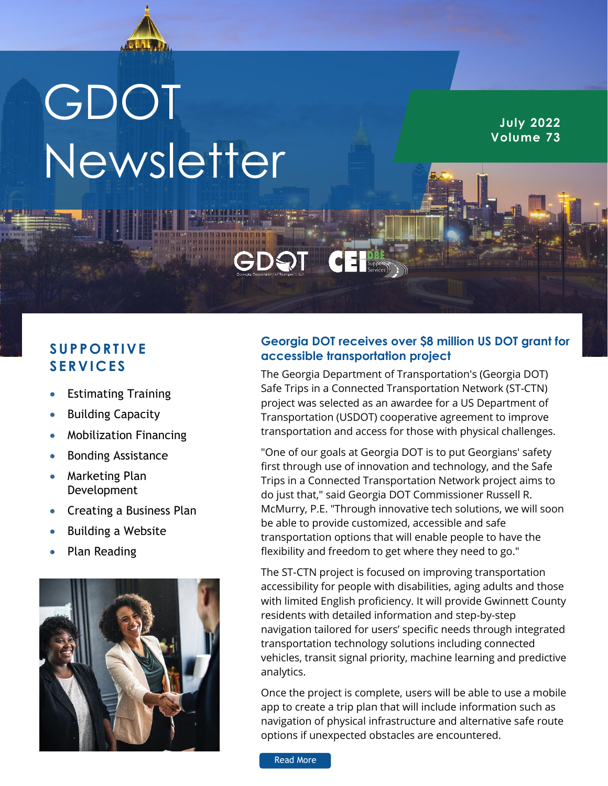

# GDOT Newsletter

**July 2022 Volume 73**

# **S UP P O RT IVE S ERV IC ES**

- Estimating Training
- Building Capacity
- Mobilization Financing
- Bonding Assistance
- Marketing Plan Development
- Creating a Business Plan
- Building a Website
- Plan Reading



## **Georgia DOT receives over \$8 million US DOT grant for accessible transportation project**

The Georgia Department of Transportation's (Georgia DOT) Safe Trips in a Connected Transportation Network (ST-CTN) project was selected as an awardee for a US Department of Transportation (USDOT) cooperative agreement to improve transportation and access for those with physical challenges.

"One of our goals at Georgia DOT is to put Georgians' safety first through use of innovation and technology, and the Safe Trips in a Connected Transportation Network project aims to do just that," said Georgia DOT Commissioner Russell R. McMurry, P.E. "Through innovative tech solutions, we will soon be able to provide customized, accessible and safe transportation options that will enable people to have the flexibility and freedom to get where they need to go."

The ST-CTN project is focused on improving transportation accessibility for people with disabilities, aging adults and those with limited English proficiency. It will provide Gwinnett County residents with detailed information and step-by-step navigation tailored for users' specific needs through integrated transportation technology solutions including connected vehicles, transit signal priority, machine learning and predictive analytics.

Once the project is complete, users will be able to use a mobile app to create a trip plan that will include information such as navigation of physical infrastructure and alternative safe route options if unexpected obstacles are encountered.

[Read More](https://mailchi.mp/dot.ga.gov/st-ctn-grant-60960610?e=01317cc7b8,%20https://mailchi.mp/dot.ga.gov/st-ctn-grant-60960610?e=01317cc7b8)  [https://www.m](https://www.msn.com/en-us/news/us/how-officials-are-keeping-the-garden-city-clean/ar-AATdxyi?ocid=BingNewsSearch)ail.com/2010/07/2010<br>https://www.mail.com/2010/07/2010